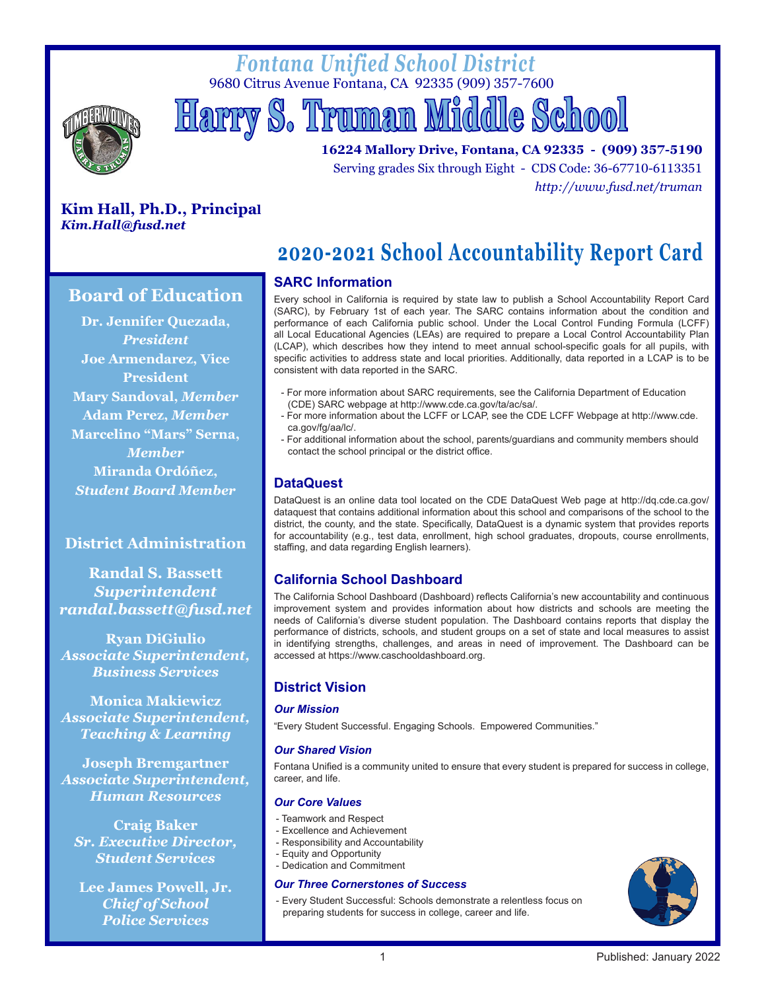# *Fontana Unified School District* 9680 Citrus Avenue Fontana, CA 92335 (909) 357-7600



 **Harry S. Truman Middle School**

**16224 Mallory Drive, Fontana, CA 92335 - (909) 357-5190** Serving grades Six through Eight - CDS Code: 36-67710-6113351 *http://www.fusd.net/truman*

# **Kim Hall, Ph.D., Principal** *Kim.Hall@fusd.net*

# **SARC Information 2020-2021 School Accountability Report Card**

Every school in California is required by state law to publish a School Accountability Report Card (SARC), by February 1st of each year. The SARC contains information about the condition and performance of each California public school. Under the Local Control Funding Formula (LCFF) all Local Educational Agencies (LEAs) are required to prepare a Local Control Accountability Plan (LCAP), which describes how they intend to meet annual school-specific goals for all pupils, with specific activities to address state and local priorities. Additionally, data reported in a LCAP is to be consistent with data reported in the SARC.

- For more information about SARC requirements, see the California Department of Education (CDE) SARC webpage at http://www.cde.ca.gov/ta/ac/sa/.
- For more information about the LCFF or LCAP, see the CDE LCFF Webpage at http://www.cde. ca.gov/fg/aa/lc/.
- For additional information about the school, parents/guardians and community members should contact the school principal or the district office.

# **DataQuest**

DataQuest is an online data tool located on the CDE DataQuest Web page at http://dq.cde.ca.gov/ dataquest that contains additional information about this school and comparisons of the school to the district, the county, and the state. Specifically, DataQuest is a dynamic system that provides reports for accountability (e.g., test data, enrollment, high school graduates, dropouts, course enrollments, staffing, and data regarding English learners).

# **California School Dashboard**

The California School Dashboard (Dashboard) reflects California's new accountability and continuous improvement system and provides information about how districts and schools are meeting the needs of California's diverse student population. The Dashboard contains reports that display the performance of districts, schools, and student groups on a set of state and local measures to assist in identifying strengths, challenges, and areas in need of improvement. The Dashboard can be accessed at https://www.caschooldashboard.org.

# **District Vision**

#### *Our Mission*

"Every Student Successful. Engaging Schools. Empowered Communities."

#### *Our Shared Vision*

Fontana Unified is a community united to ensure that every student is prepared for success in college, career, and life.

#### *Our Core Values*

- Teamwork and Respect
- Excellence and Achievement
- Responsibility and Accountability
- Equity and Opportunity
- Dedication and Commitment

### *Our Three Cornerstones of Success*

- Every Student Successful: Schools demonstrate a relentless focus on preparing students for success in college, career and life.



### 1 Published: January 2022

# **Board of Education**

**Dr. Jennifer Quezada,** *President* **Joe Armendarez, Vice President Mary Sandoval,** *Member* **Adam Perez,** *Member* **Marcelino "Mars" Serna,**  *Member* **Miranda Ordóñez,**  *Student Board Member*

# **District Administration**

**Randal S. Bassett** *Superintendent randal.bassett@fusd.net*

**Ryan DiGiulio**  *Associate Superintendent, Business Services*

**Monica Makiewicz**  *Associate Superintendent, Teaching & Learning*

**Joseph Bremgartner**  *Associa***t***e Superintendent, Human Resources*

**Craig Baker**  *Sr. Executive Director, Student Services*

**Lee James Powell, Jr.**  *Chief of School Police Services*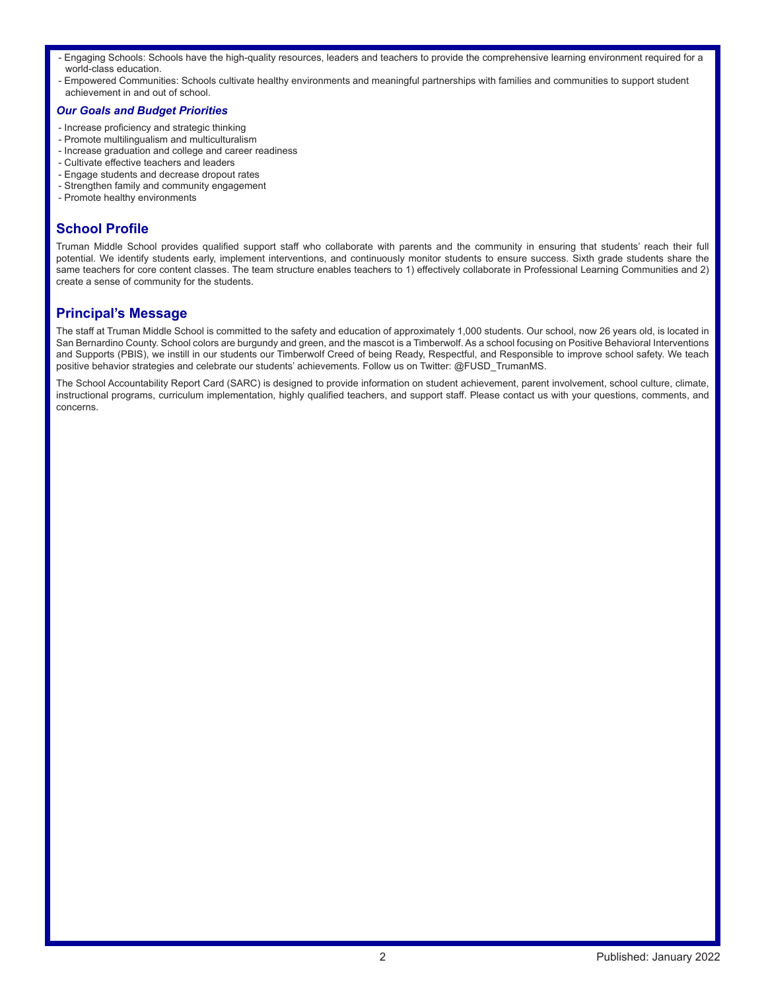- Engaging Schools: Schools have the high-quality resources, leaders and teachers to provide the comprehensive learning environment required for a world-class education.
- Empowered Communities: Schools cultivate healthy environments and meaningful partnerships with families and communities to support student achievement in and out of school.

#### *Our Goals and Budget Priorities*

- Increase proficiency and strategic thinking
- Promote multilingualism and multiculturalism
- Increase graduation and college and career readiness
- Cultivate effective teachers and leaders
- Engage students and decrease dropout rates
- Strengthen family and community engagement
- Promote healthy environments

# **School Profile**

Truman Middle School provides qualified support staff who collaborate with parents and the community in ensuring that students' reach their full potential. We identify students early, implement interventions, and continuously monitor students to ensure success. Sixth grade students share the same teachers for core content classes. The team structure enables teachers to 1) effectively collaborate in Professional Learning Communities and 2) create a sense of community for the students.

# **Principal's Message**

The staff at Truman Middle School is committed to the safety and education of approximately 1,000 students. Our school, now 26 years old, is located in San Bernardino County. School colors are burgundy and green, and the mascot is a Timberwolf. As a school focusing on Positive Behavioral Interventions and Supports (PBIS), we instill in our students our Timberwolf Creed of being Ready, Respectful, and Responsible to improve school safety. We teach positive behavior strategies and celebrate our students' achievements. Follow us on Twitter: @FUSD\_TrumanMS.

The School Accountability Report Card (SARC) is designed to provide information on student achievement, parent involvement, school culture, climate, instructional programs, curriculum implementation, highly qualified teachers, and support staff. Please contact us with your questions, comments, and concerns.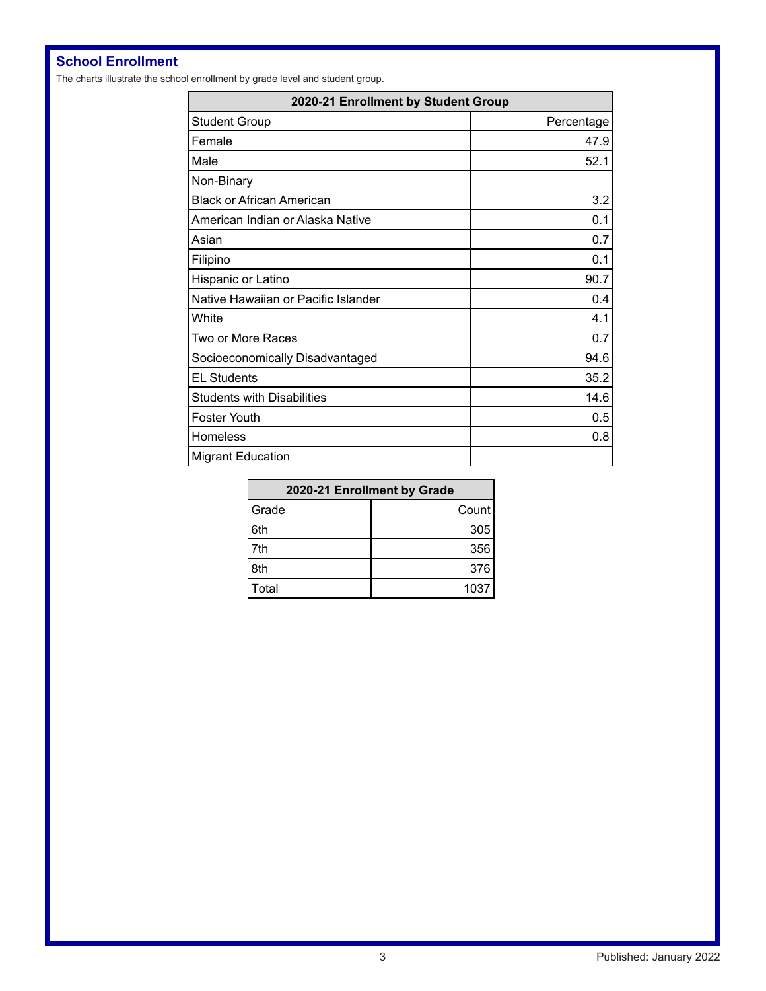# **School Enrollment**

The charts illustrate the school enrollment by grade level and student group.

| 2020-21 Enrollment by Student Group |            |  |  |  |
|-------------------------------------|------------|--|--|--|
| <b>Student Group</b>                | Percentage |  |  |  |
| Female                              | 47.9       |  |  |  |
| Male                                | 52.1       |  |  |  |
| Non-Binary                          |            |  |  |  |
| <b>Black or African American</b>    | 3.2        |  |  |  |
| American Indian or Alaska Native    | 0.1        |  |  |  |
| Asian                               | 0.7        |  |  |  |
| Filipino                            | 0.1        |  |  |  |
| Hispanic or Latino                  | 90.7       |  |  |  |
| Native Hawaiian or Pacific Islander | 0.4        |  |  |  |
| White                               | 4.1        |  |  |  |
| Two or More Races                   | 0.7        |  |  |  |
| Socioeconomically Disadvantaged     | 94.6       |  |  |  |
| <b>EL Students</b>                  | 35.2       |  |  |  |
| <b>Students with Disabilities</b>   | 14.6       |  |  |  |
| Foster Youth                        | 0.5        |  |  |  |
| Homeless                            | 0.8        |  |  |  |
| <b>Migrant Education</b>            |            |  |  |  |

| 2020-21 Enrollment by Grade |       |  |  |  |
|-----------------------------|-------|--|--|--|
| Grade                       | Count |  |  |  |
| 6th                         | 305   |  |  |  |
| 7th                         | 356   |  |  |  |
| 8th                         | 376   |  |  |  |
| Total                       | 1037  |  |  |  |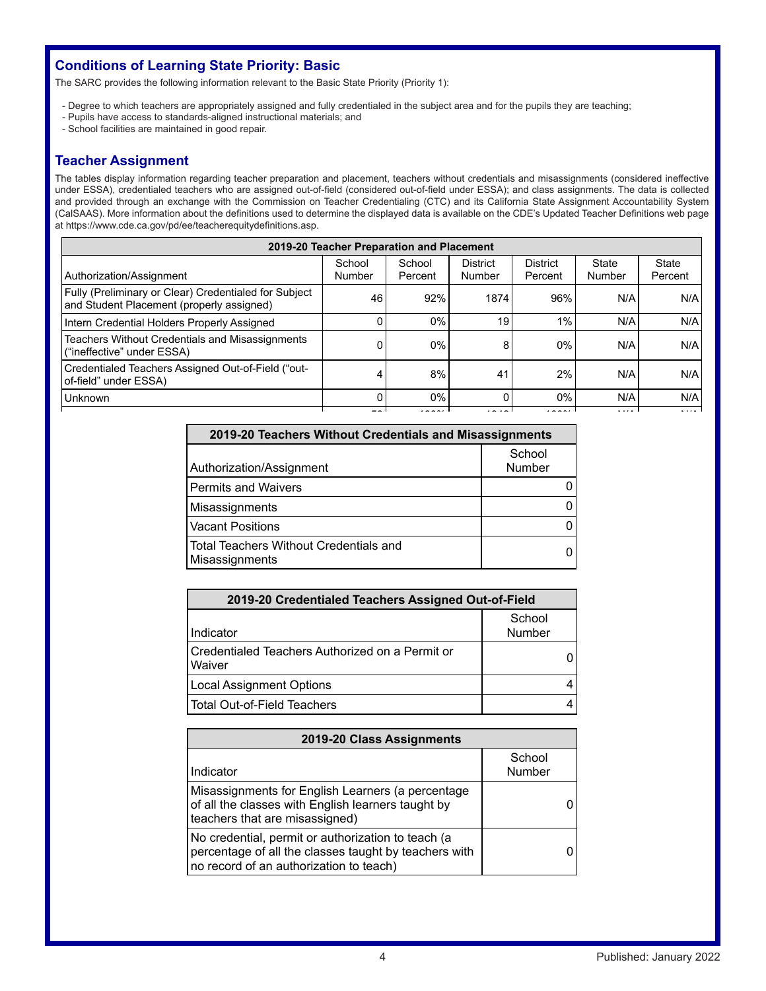# **Conditions of Learning State Priority: Basic**

The SARC provides the following information relevant to the Basic State Priority (Priority 1):

- Degree to which teachers are appropriately assigned and fully credentialed in the subject area and for the pupils they are teaching;
- Pupils have access to standards-aligned instructional materials; and
- School facilities are maintained in good repair.

# **Teacher Assignment**

The tables display information regarding teacher preparation and placement, teachers without credentials and misassignments (considered ineffective under ESSA), credentialed teachers who are assigned out-of-field (considered out-of-field under ESSA); and class assignments. The data is collected and provided through an exchange with the Commission on Teacher Credentialing (CTC) and its California State Assignment Accountability System (CalSAAS). More information about the definitions used to determine the displayed data is available on the CDE's Updated Teacher Definitions web page at https://www.cde.ca.gov/pd/ee/teacherequitydefinitions.asp.

| 2019-20 Teacher Preparation and Placement                                                          |                  |                   |                           |                            |                 |                  |  |
|----------------------------------------------------------------------------------------------------|------------------|-------------------|---------------------------|----------------------------|-----------------|------------------|--|
| Authorization/Assignment                                                                           | School<br>Number | School<br>Percent | <b>District</b><br>Number | <b>District</b><br>Percent | State<br>Number | State<br>Percent |  |
| Fully (Preliminary or Clear) Credentialed for Subject<br>and Student Placement (properly assigned) | 46               | 92%               | 1874                      | 96%                        | N/A             | N/A              |  |
| Intern Credential Holders Properly Assigned                                                        |                  | 0%                | 19                        | 1%                         | N/A             | N/A              |  |
| <b>Teachers Without Credentials and Misassignments</b><br>("ineffective" under ESSA)               |                  | 0%                | 8                         | $0\%$                      | N/A             | N/A              |  |
| Credentialed Teachers Assigned Out-of-Field ("out-<br>of-field" under ESSA)                        |                  | 8%                | 41                        | 2%                         | N/A             | N/A              |  |
| Unknown                                                                                            |                  | $0\%$             | 0                         | $0\%$                      | N/A             | N/A              |  |
|                                                                                                    |                  |                   |                           |                            | .               |                  |  |

| 2019-20 Teachers Without Credentials and Misassignments  |                  |  |  |  |
|----------------------------------------------------------|------------------|--|--|--|
| Authorization/Assignment                                 | School<br>Number |  |  |  |
| <b>Permits and Waivers</b>                               |                  |  |  |  |
| Misassignments                                           |                  |  |  |  |
| <b>Vacant Positions</b>                                  |                  |  |  |  |
| Total Teachers Without Credentials and<br>Misassignments |                  |  |  |  |

| 2019-20 Credentialed Teachers Assigned Out-of-Field         |                  |  |  |  |  |
|-------------------------------------------------------------|------------------|--|--|--|--|
| Indicator                                                   | School<br>Number |  |  |  |  |
| l Credentialed Teachers Authorized on a Permit or<br>Waiver |                  |  |  |  |  |
| <b>Local Assignment Options</b>                             |                  |  |  |  |  |
| l Total Out-of-Field Teachers                               |                  |  |  |  |  |

| 2019-20 Class Assignments                                                                                                                              |                  |  |  |  |  |
|--------------------------------------------------------------------------------------------------------------------------------------------------------|------------------|--|--|--|--|
| Indicator                                                                                                                                              | School<br>Number |  |  |  |  |
| Misassignments for English Learners (a percentage<br>of all the classes with English learners taught by<br>teachers that are misassigned)              |                  |  |  |  |  |
| No credential, permit or authorization to teach (a<br>percentage of all the classes taught by teachers with<br>no record of an authorization to teach) |                  |  |  |  |  |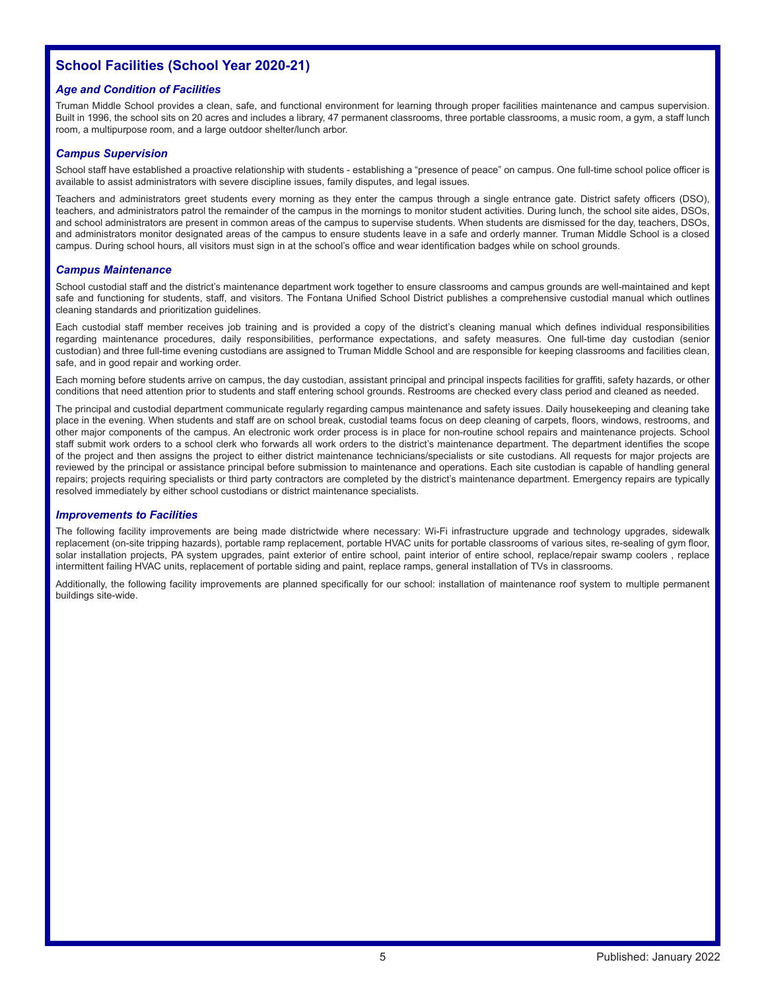# **School Facilities (School Year 2020-21)**

#### *Age and Condition of Facilities*

Truman Middle School provides a clean, safe, and functional environment for learning through proper facilities maintenance and campus supervision. Built in 1996, the school sits on 20 acres and includes a library, 47 permanent classrooms, three portable classrooms, a music room, a gym, a staff lunch room, a multipurpose room, and a large outdoor shelter/lunch arbor.

#### *Campus Supervision*

School staff have established a proactive relationship with students - establishing a "presence of peace" on campus. One full-time school police officer is available to assist administrators with severe discipline issues, family disputes, and legal issues.

Teachers and administrators greet students every morning as they enter the campus through a single entrance gate. District safety officers (DSO), teachers, and administrators patrol the remainder of the campus in the mornings to monitor student activities. During lunch, the school site aides, DSOs, and school administrators are present in common areas of the campus to supervise students. When students are dismissed for the day, teachers, DSOs, and administrators monitor designated areas of the campus to ensure students leave in a safe and orderly manner. Truman Middle School is a closed campus. During school hours, all visitors must sign in at the school's office and wear identification badges while on school grounds.

#### *Campus Maintenance*

School custodial staff and the district's maintenance department work together to ensure classrooms and campus grounds are well-maintained and kept safe and functioning for students, staff, and visitors. The Fontana Unified School District publishes a comprehensive custodial manual which outlines cleaning standards and prioritization guidelines.

Each custodial staff member receives job training and is provided a copy of the district's cleaning manual which defines individual responsibilities regarding maintenance procedures, daily responsibilities, performance expectations, and safety measures. One full-time day custodian (senior custodian) and three full-time evening custodians are assigned to Truman Middle School and are responsible for keeping classrooms and facilities clean, safe, and in good repair and working order.

Each morning before students arrive on campus, the day custodian, assistant principal and principal inspects facilities for graffiti, safety hazards, or other conditions that need attention prior to students and staff entering school grounds. Restrooms are checked every class period and cleaned as needed.

The principal and custodial department communicate regularly regarding campus maintenance and safety issues. Daily housekeeping and cleaning take place in the evening. When students and staff are on school break, custodial teams focus on deep cleaning of carpets, floors, windows, restrooms, and other major components of the campus. An electronic work order process is in place for non-routine school repairs and maintenance projects. School staff submit work orders to a school clerk who forwards all work orders to the district's maintenance department. The department identifies the scope of the project and then assigns the project to either district maintenance technicians/specialists or site custodians. All requests for major projects are reviewed by the principal or assistance principal before submission to maintenance and operations. Each site custodian is capable of handling general repairs; projects requiring specialists or third party contractors are completed by the district's maintenance department. Emergency repairs are typically resolved immediately by either school custodians or district maintenance specialists.

#### *Improvements to Facilities*

The following facility improvements are being made districtwide where necessary: Wi-Fi infrastructure upgrade and technology upgrades, sidewalk replacement (on-site tripping hazards), portable ramp replacement, portable HVAC units for portable classrooms of various sites, re-sealing of gym floor, solar installation projects, PA system upgrades, paint exterior of entire school, paint interior of entire school, replace/repair swamp coolers, replace intermittent failing HVAC units, replacement of portable siding and paint, replace ramps, general installation of TVs in classrooms.

Additionally, the following facility improvements are planned specifically for our school: installation of maintenance roof system to multiple permanent buildings site-wide.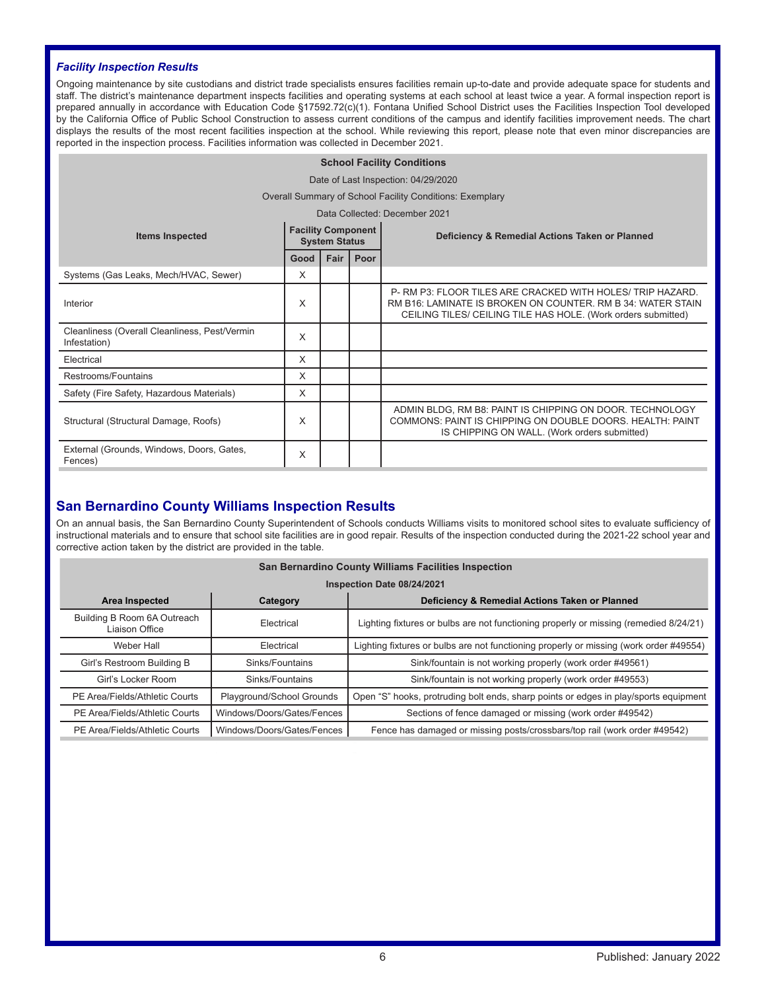#### *Facility Inspection Results*

Ongoing maintenance by site custodians and district trade specialists ensures facilities remain up-to-date and provide adequate space for students and staff. The district's maintenance department inspects facilities and operating systems at each school at least twice a year. A formal inspection report is prepared annually in accordance with Education Code §17592.72(c)(1). Fontana Unified School District uses the Facilities Inspection Tool developed by the California Office of Public School Construction to assess current conditions of the campus and identify facilities improvement needs. The chart displays the results of the most recent facilities inspection at the school. While reviewing this report, please note that even minor discrepancies are reported in the inspection process. Facilities information was collected in December 2021.

### **School Facility Conditions** Date of Last Inspection: 04/29/2020 Overall Summary of School Facility Conditions: Exemplary Data Collected: December 2021 **Items Inspected Facility Component Deficiency & Remedial Actions Taken or Planned Good Fair Poor** Systems (Gas Leaks, Mech/HVAC, Sewer) X Interior X P- RM P3: FLOOR TILES ARE CRACKED WITH HOLES/ TRIP HAZARD. RM B16: LAMINATE IS BROKEN ON COUNTER. RM B 34: WATER STAIN CEILING TILES/ CEILING TILE HAS HOLE. (Work orders submitted) Cleanliness (Overall Cleanliness, Pest/Vermin Infestation) <sup>X</sup> Electrical X Restrooms/Fountains X Safety (Fire Safety, Hazardous Materials) X Structural (Structural Damage, Roofs) X ADMIN BLDG, RM B8: PAINT IS CHIPPING ON DOOR. TECHNOLOGY COMMONS: PAINT IS CHIPPING ON DOUBLE DOORS. HEALTH: PAINT IS CHIPPING ON WALL. (Work orders submitted) External (Grounds, Windows, Doors, Gates, Fences) <sup>X</sup>

# **San Bernardino County Williams Inspection Results**

On an annual basis, the San Bernardino County Superintendent of Schools conducts Williams visits to monitored school sites to evaluate sufficiency of instructional materials and to ensure that school site facilities are in good repair. Results of the inspection conducted during the 2021-22 school year and corrective action taken by the district are provided in the table.

| San Bernardino County Williams Facilities Inspection                         |                            |                                                                                        |  |  |  |  |  |  |
|------------------------------------------------------------------------------|----------------------------|----------------------------------------------------------------------------------------|--|--|--|--|--|--|
|                                                                              | Inspection Date 08/24/2021 |                                                                                        |  |  |  |  |  |  |
| Deficiency & Remedial Actions Taken or Planned<br>Area Inspected<br>Category |                            |                                                                                        |  |  |  |  |  |  |
| Building B Room 6A Outreach<br>Liaison Office                                | Electrical                 | Lighting fixtures or bulbs are not functioning properly or missing (remedied 8/24/21)  |  |  |  |  |  |  |
| Weber Hall<br>Electrical                                                     |                            | Lighting fixtures or bulbs are not functioning properly or missing (work order #49554) |  |  |  |  |  |  |
| Girl's Restroom Building B                                                   | Sinks/Fountains            | Sink/fountain is not working properly (work order #49561)                              |  |  |  |  |  |  |
| Girl's Locker Room                                                           | Sinks/Fountains            | Sink/fountain is not working properly (work order #49553)                              |  |  |  |  |  |  |
| Playground/School Grounds<br>PE Area/Fields/Athletic Courts                  |                            | Open "S" hooks, protruding bolt ends, sharp points or edges in play/sports equipment   |  |  |  |  |  |  |
| PE Area/Fields/Athletic Courts                                               | Windows/Doors/Gates/Fences | Sections of fence damaged or missing (work order #49542)                               |  |  |  |  |  |  |
| PE Area/Fields/Athletic Courts                                               | Windows/Doors/Gates/Fences | Fence has damaged or missing posts/crossbars/top rail (work order #49542)              |  |  |  |  |  |  |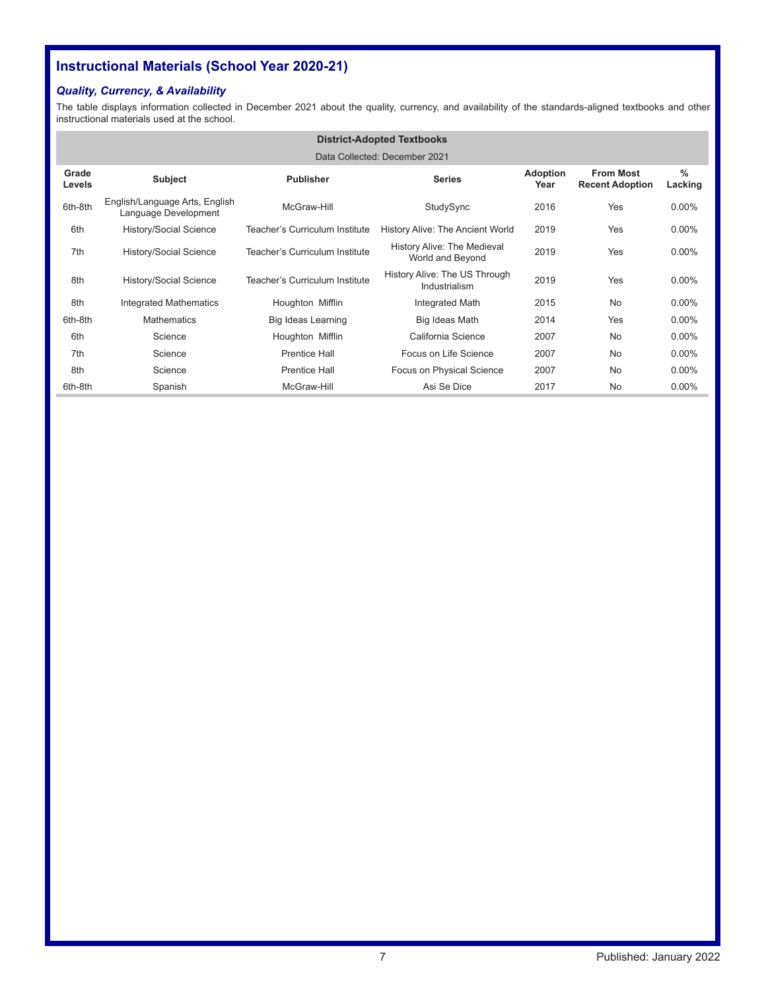# **Instructional Materials (School Year 2020-21)**

# *Quality, Currency, & Availability*

The table displays information collected in December 2021 about the quality, currency, and availability of the standards-aligned textbooks and other instructional materials used at the school.

|                               | <b>District-Adopted Textbooks</b>                      |                                |                                                        |                         |                                            |                 |  |
|-------------------------------|--------------------------------------------------------|--------------------------------|--------------------------------------------------------|-------------------------|--------------------------------------------|-----------------|--|
| Data Collected: December 2021 |                                                        |                                |                                                        |                         |                                            |                 |  |
| Grade<br>Levels               | <b>Subject</b>                                         | <b>Publisher</b>               | <b>Series</b>                                          | <b>Adoption</b><br>Year | <b>From Most</b><br><b>Recent Adoption</b> | $\%$<br>Lacking |  |
| 6th-8th                       | English/Language Arts, English<br>Language Development | McGraw-Hill                    | StudySync                                              | 2016                    | Yes                                        | $0.00\%$        |  |
| 6th                           | History/Social Science                                 | Teacher's Curriculum Institute | History Alive: The Ancient World                       | 2019                    | Yes                                        | $0.00\%$        |  |
| 7th                           | History/Social Science                                 | Teacher's Curriculum Institute | <b>History Alive: The Medieval</b><br>World and Beyond | 2019                    | Yes                                        | $0.00\%$        |  |
| 8th                           | History/Social Science                                 | Teacher's Curriculum Institute | History Alive: The US Through<br>Industrialism         | 2019                    | Yes                                        | $0.00\%$        |  |
| 8th                           | <b>Integrated Mathematics</b>                          | Houghton Mifflin               | Integrated Math                                        | 2015                    | No                                         | $0.00\%$        |  |
| 6th-8th                       | <b>Mathematics</b>                                     | Big Ideas Learning             | Big Ideas Math                                         | 2014                    | Yes                                        | $0.00\%$        |  |
| 6th                           | Science                                                | Houghton Mifflin               | California Science                                     | 2007                    | No                                         | $0.00\%$        |  |
| 7th                           | Science                                                | <b>Prentice Hall</b>           | Focus on Life Science                                  | 2007                    | No                                         | $0.00\%$        |  |
| 8th                           | Science                                                | <b>Prentice Hall</b>           | Focus on Physical Science                              | 2007                    | No                                         | $0.00\%$        |  |
| 6th-8th                       | Spanish                                                | McGraw-Hill                    | Asi Se Dice                                            | 2017                    | No                                         | $0.00\%$        |  |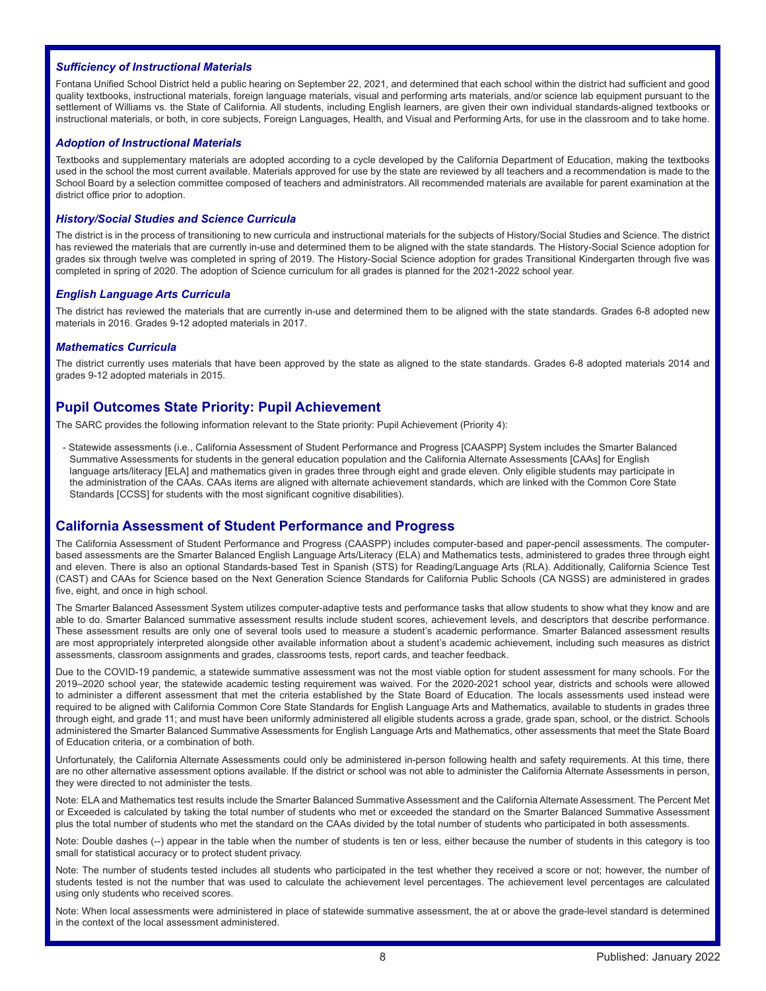#### *Sufficiency of Instructional Materials*

Fontana Unified School District held a public hearing on September 22, 2021, and determined that each school within the district had sufficient and good quality textbooks, instructional materials, foreign language materials, visual and performing arts materials, and/or science lab equipment pursuant to the settlement of Williams vs. the State of California. All students, including English learners, are given their own individual standards-aligned textbooks or instructional materials, or both, in core subjects, Foreign Languages, Health, and Visual and Performing Arts, for use in the classroom and to take home.

#### *Adoption of Instructional Materials*

Textbooks and supplementary materials are adopted according to a cycle developed by the California Department of Education, making the textbooks used in the school the most current available. Materials approved for use by the state are reviewed by all teachers and a recommendation is made to the School Board by a selection committee composed of teachers and administrators. All recommended materials are available for parent examination at the district office prior to adoption.

#### *History/Social Studies and Science Curricula*

The district is in the process of transitioning to new curricula and instructional materials for the subjects of History/Social Studies and Science. The district has reviewed the materials that are currently in-use and determined them to be aligned with the state standards. The History-Social Science adoption for grades six through twelve was completed in spring of 2019. The History-Social Science adoption for grades Transitional Kindergarten through five was completed in spring of 2020. The adoption of Science curriculum for all grades is planned for the 2021-2022 school year.

#### *English Language Arts Curricula*

The district has reviewed the materials that are currently in-use and determined them to be aligned with the state standards. Grades 6-8 adopted new materials in 2016. Grades 9-12 adopted materials in 2017.

#### *Mathematics Curricula*

The district currently uses materials that have been approved by the state as aligned to the state standards. Grades 6-8 adopted materials 2014 and grades 9-12 adopted materials in 2015.

### **Pupil Outcomes State Priority: Pupil Achievement**

The SARC provides the following information relevant to the State priority: Pupil Achievement (Priority 4):

- Statewide assessments (i.e., California Assessment of Student Performance and Progress [CAASPP] System includes the Smarter Balanced Summative Assessments for students in the general education population and the California Alternate Assessments [CAAs] for English language arts/literacy [ELA] and mathematics given in grades three through eight and grade eleven. Only eligible students may participate in the administration of the CAAs. CAAs items are aligned with alternate achievement standards, which are linked with the Common Core State Standards [CCSS] for students with the most significant cognitive disabilities).

### **California Assessment of Student Performance and Progress**

The California Assessment of Student Performance and Progress (CAASPP) includes computer-based and paper-pencil assessments. The computerbased assessments are the Smarter Balanced English Language Arts/Literacy (ELA) and Mathematics tests, administered to grades three through eight and eleven. There is also an optional Standards-based Test in Spanish (STS) for Reading/Language Arts (RLA). Additionally, California Science Test (CAST) and CAAs for Science based on the Next Generation Science Standards for California Public Schools (CA NGSS) are administered in grades five, eight, and once in high school.

The Smarter Balanced Assessment System utilizes computer-adaptive tests and performance tasks that allow students to show what they know and are able to do. Smarter Balanced summative assessment results include student scores, achievement levels, and descriptors that describe performance. These assessment results are only one of several tools used to measure a student's academic performance. Smarter Balanced assessment results are most appropriately interpreted alongside other available information about a student's academic achievement, including such measures as district assessments, classroom assignments and grades, classrooms tests, report cards, and teacher feedback.

Due to the COVID-19 pandemic, a statewide summative assessment was not the most viable option for student assessment for many schools. For the 2019–2020 school year, the statewide academic testing requirement was waived. For the 2020-2021 school year, districts and schools were allowed to administer a different assessment that met the criteria established by the State Board of Education. The locals assessments used instead were required to be aligned with California Common Core State Standards for English Language Arts and Mathematics, available to students in grades three through eight, and grade 11; and must have been uniformly administered all eligible students across a grade, grade span, school, or the district. Schools administered the Smarter Balanced Summative Assessments for English Language Arts and Mathematics, other assessments that meet the State Board of Education criteria, or a combination of both.

Unfortunately, the California Alternate Assessments could only be administered in-person following health and safety requirements. At this time, there are no other alternative assessment options available. If the district or school was not able to administer the California Alternate Assessments in person, they were directed to not administer the tests.

Note: ELA and Mathematics test results include the Smarter Balanced Summative Assessment and the California Alternate Assessment. The Percent Met or Exceeded is calculated by taking the total number of students who met or exceeded the standard on the Smarter Balanced Summative Assessment plus the total number of students who met the standard on the CAAs divided by the total number of students who participated in both assessments.

Note: Double dashes (--) appear in the table when the number of students is ten or less, either because the number of students in this category is too small for statistical accuracy or to protect student privacy.

Note: The number of students tested includes all students who participated in the test whether they received a score or not; however, the number of students tested is not the number that was used to calculate the achievement level percentages. The achievement level percentages are calculated using only students who received scores.

Note: When local assessments were administered in place of statewide summative assessment, the at or above the grade-level standard is determined in the context of the local assessment administered.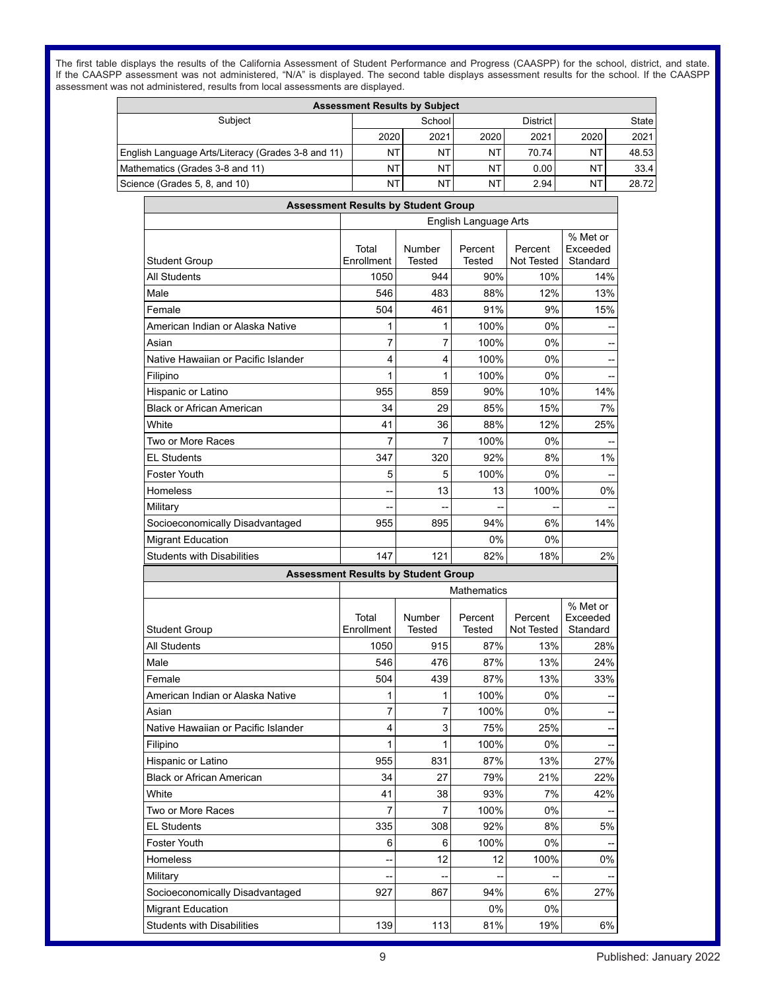The first table displays the results of the California Assessment of Student Performance and Progress (CAASPP) for the school, district, and state. If the CAASPP assessment was not administered, "N/A" is displayed. The second table displays assessment results for the school. If the CAASPP assessment was not administered, results from local assessments are displayed.

| <b>Assessment Results by Subject</b>               |      |                                      |           |       |      |       |
|----------------------------------------------------|------|--------------------------------------|-----------|-------|------|-------|
| Subject                                            |      | School<br>District I<br><b>State</b> |           |       |      |       |
|                                                    | 2020 | 2021                                 | 2020      | 2021  | 2020 | 2021  |
| English Language Arts/Literacy (Grades 3-8 and 11) | NT   | NT                                   | NT        | 70.74 | NT   | 48.53 |
| Mathematics (Grades 3-8 and 11)                    | NT   | NT                                   | NT        | 0.00  | NΤ   | 33.4  |
| Science (Grades 5, 8, and 10)                      | NT   | NT                                   | <b>NT</b> | 2.94  | NΤ   | 28.72 |

|                                     | <b>Assessment Results by Student Group</b> |                  |                       |                       |                                  |
|-------------------------------------|--------------------------------------------|------------------|-----------------------|-----------------------|----------------------------------|
|                                     |                                            |                  | English Language Arts |                       |                                  |
| <b>Student Group</b>                | Total<br>Enrollment                        | Number<br>Tested | Percent<br>Tested     | Percent<br>Not Tested | % Met or<br>Exceeded<br>Standard |
| All Students                        | 1050                                       | 944              | 90%                   | 10%                   | 14%                              |
| Male                                | 546                                        | 483              | 88%                   | 12%                   | 13%                              |
| Female                              | 504                                        | 461              | 91%                   | 9%                    | 15%                              |
| American Indian or Alaska Native    | 1                                          | 1                | 100%                  | 0%                    |                                  |
| Asian                               | $\overline{7}$                             | 7                | 100%                  | 0%                    |                                  |
| Native Hawaiian or Pacific Islander | 4                                          | 4                | 100%                  | 0%                    |                                  |
| Filipino                            | 1                                          | 1                | 100%                  | 0%                    |                                  |
| Hispanic or Latino                  | 955                                        | 859              | 90%                   | 10%                   | 14%                              |
| Black or African American           | 34                                         | 29               | 85%                   | 15%                   | 7%                               |
| White                               | 41                                         | 36               | 88%                   | 12%                   | 25%                              |
| Two or More Races                   | 7                                          | 7                | 100%                  | 0%                    |                                  |
| <b>EL Students</b>                  | 347                                        | 320              | 92%                   | 8%                    | 1%                               |
| Foster Youth                        | 5                                          | 5                | 100%                  | 0%                    |                                  |
| Homeless                            |                                            | 13               | 13                    | 100%                  | 0%                               |
| Military                            |                                            |                  |                       |                       |                                  |
| Socioeconomically Disadvantaged     | 955                                        | 895              | 94%                   | 6%                    | 14%                              |
| <b>Migrant Education</b>            |                                            |                  | 0%                    | 0%                    |                                  |
| <b>Students with Disabilities</b>   | 147                                        | 121              | 82%                   | 18%                   | 2%                               |
|                                     | <b>Assessment Results by Student Group</b> |                  |                       |                       |                                  |
|                                     |                                            |                  | <b>Mathematics</b>    |                       |                                  |
| Student Group                       | Total<br>Enrollment                        | Number<br>Tested | Percent<br>Tested     | Percent<br>Not Tested | % Met or<br>Exceeded<br>Standard |
| All Students                        | 1050                                       | 915              | 87%                   | 13%                   | 28%                              |
| Male                                | 546                                        | 476              | 87%                   | 13%                   | 24%                              |
| Female                              | 504                                        | 439              | 87%                   | 13%                   | 33%                              |
| American Indian or Alaska Native    | 1                                          | 1                | 100%                  | 0%                    |                                  |
| Asian                               | 7                                          | 7                | 100%                  | 0%                    |                                  |
| Native Hawaiian or Pacific Islander | 4                                          | 3                | 75%                   | 25%                   |                                  |
| Filipino                            | 1                                          | 1                | 100%                  | 0%                    |                                  |
| Hispanic or Latino                  | 955                                        | 831              | 87%                   | 13%                   | 27%                              |
| <b>Black or African American</b>    | 34                                         | 27               | 79%                   | 21%                   | 22%                              |
| White                               | 41                                         | 38               | 93%                   | 7%                    | 42%                              |
| Two or More Races                   | $\overline{7}$                             | $\overline{7}$   | 100%                  | 0%                    | ÷                                |
| <b>EL Students</b>                  | 335                                        | 308              | 92%                   | $8\%$                 | 5%                               |
| Foster Youth                        | 6                                          | 6                | 100%                  | 0%                    |                                  |
|                                     |                                            |                  | 12                    |                       |                                  |
| Homeless                            |                                            | 12               |                       | 100%                  |                                  |
| Military                            |                                            |                  |                       |                       |                                  |
| Socioeconomically Disadvantaged     | 927                                        | 867              | 94%                   | 6%                    |                                  |
| <b>Migrant Education</b>            |                                            |                  | 0%                    | 0%                    | 0%<br>27%                        |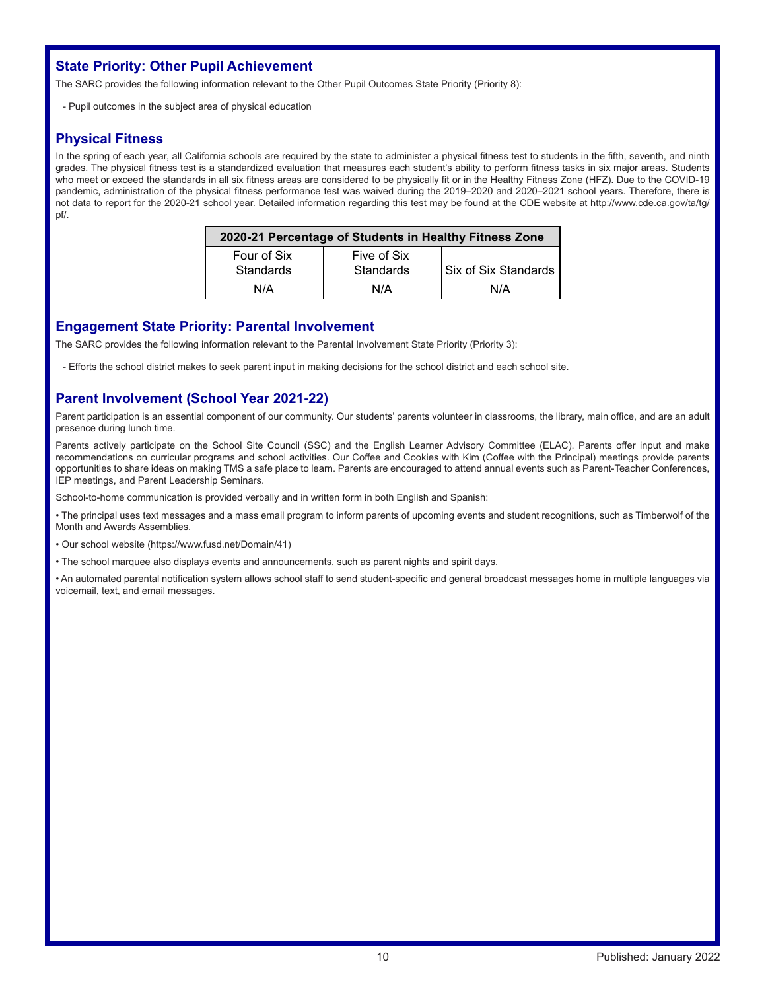# **State Priority: Other Pupil Achievement**

The SARC provides the following information relevant to the Other Pupil Outcomes State Priority (Priority 8):

- Pupil outcomes in the subject area of physical education

# **Physical Fitness**

In the spring of each year, all California schools are required by the state to administer a physical fitness test to students in the fifth, seventh, and ninth grades. The physical fitness test is a standardized evaluation that measures each student's ability to perform fitness tasks in six major areas. Students who meet or exceed the standards in all six fitness areas are considered to be physically fit or in the Healthy Fitness Zone (HFZ). Due to the COVID-19 pandemic, administration of the physical fitness performance test was waived during the 2019–2020 and 2020–2021 school years. Therefore, there is not data to report for the 2020-21 school year. Detailed information regarding this test may be found at the CDE website at http://www.cde.ca.gov/ta/tg/ pf/.

| 2020-21 Percentage of Students in Healthy Fitness Zone |                             |     |  |  |  |  |
|--------------------------------------------------------|-----------------------------|-----|--|--|--|--|
| Four of Six<br>Standards                               | <b>Six of Six Standards</b> |     |  |  |  |  |
| N/A                                                    | N/A                         | N/A |  |  |  |  |

### **Engagement State Priority: Parental Involvement**

The SARC provides the following information relevant to the Parental Involvement State Priority (Priority 3):

- Efforts the school district makes to seek parent input in making decisions for the school district and each school site.

# **Parent Involvement (School Year 2021-22)**

Parent participation is an essential component of our community. Our students' parents volunteer in classrooms, the library, main office, and are an adult presence during lunch time.

Parents actively participate on the School Site Council (SSC) and the English Learner Advisory Committee (ELAC). Parents offer input and make recommendations on curricular programs and school activities. Our Coffee and Cookies with Kim (Coffee with the Principal) meetings provide parents opportunities to share ideas on making TMS a safe place to learn. Parents are encouraged to attend annual events such as Parent-Teacher Conferences, IEP meetings, and Parent Leadership Seminars.

School-to-home communication is provided verbally and in written form in both English and Spanish:

• The principal uses text messages and a mass email program to inform parents of upcoming events and student recognitions, such as Timberwolf of the Month and Awards Assemblies.

• Our school website (https://www.fusd.net/Domain/41)

• The school marquee also displays events and announcements, such as parent nights and spirit days.

• An automated parental notification system allows school staff to send student-specific and general broadcast messages home in multiple languages via voicemail, text, and email messages.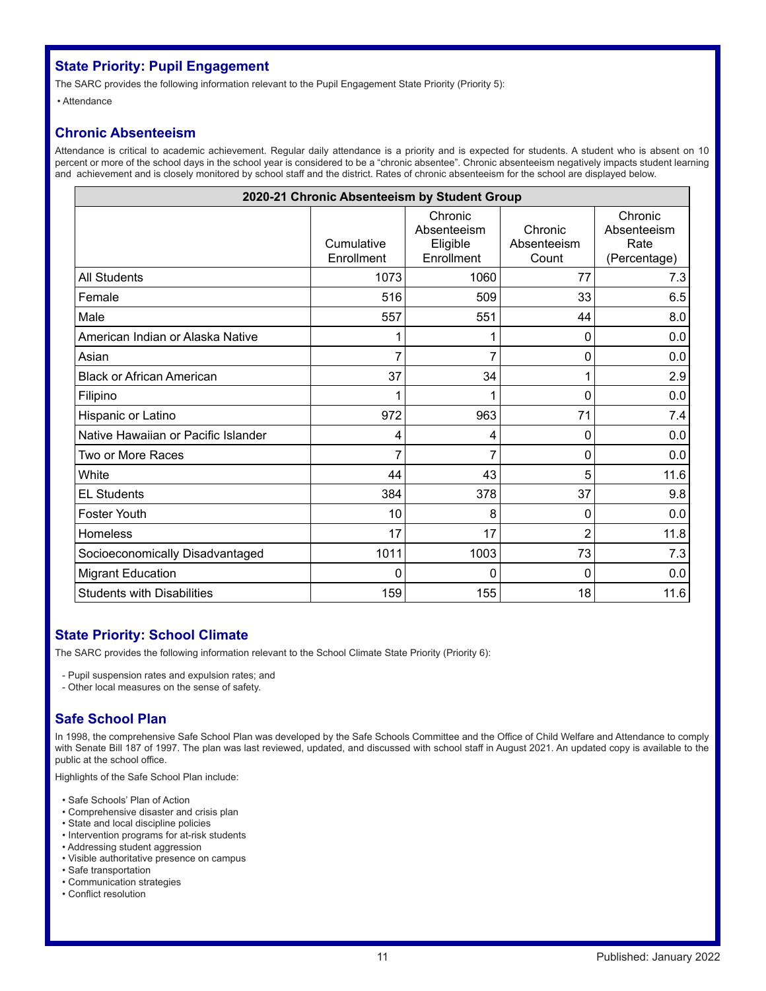# **State Priority: Pupil Engagement**

The SARC provides the following information relevant to the Pupil Engagement State Priority (Priority 5):

• Attendance

# **Chronic Absenteeism**

Attendance is critical to academic achievement. Regular daily attendance is a priority and is expected for students. A student who is absent on 10 percent or more of the school days in the school year is considered to be a "chronic absentee". Chronic absenteeism negatively impacts student learning and achievement and is closely monitored by school staff and the district. Rates of chronic absenteeism for the school are displayed below.

| 2020-21 Chronic Absenteeism by Student Group |                          |                                                  |                                 |                                                |  |  |  |
|----------------------------------------------|--------------------------|--------------------------------------------------|---------------------------------|------------------------------------------------|--|--|--|
|                                              | Cumulative<br>Enrollment | Chronic<br>Absenteeism<br>Eligible<br>Enrollment | Chronic<br>Absenteeism<br>Count | Chronic<br>Absenteeism<br>Rate<br>(Percentage) |  |  |  |
| <b>All Students</b>                          | 1073                     | 1060                                             | 77                              | 7.3                                            |  |  |  |
| Female                                       | 516                      | 509                                              | 33                              | 6.5                                            |  |  |  |
| Male                                         | 557                      | 551                                              | 44                              | 8.0                                            |  |  |  |
| American Indian or Alaska Native             |                          |                                                  | 0                               | 0.0                                            |  |  |  |
| Asian                                        |                          | 7                                                | 0                               | 0.0                                            |  |  |  |
| <b>Black or African American</b>             | 37                       | 34                                               | 1                               | 2.9                                            |  |  |  |
| Filipino                                     |                          | 1                                                | 0                               | 0.0                                            |  |  |  |
| Hispanic or Latino                           | 972                      | 963                                              | 71                              | 7.4                                            |  |  |  |
| Native Hawaiian or Pacific Islander          | 4                        | 4                                                | 0                               | 0.0                                            |  |  |  |
| Two or More Races                            |                          | 7                                                | 0                               | 0.0                                            |  |  |  |
| White                                        | 44                       | 43                                               | 5                               | 11.6                                           |  |  |  |
| <b>EL Students</b>                           | 384                      | 378                                              | 37                              | 9.8                                            |  |  |  |
| Foster Youth                                 | 10                       | 8                                                | 0                               | 0.0                                            |  |  |  |
| Homeless                                     | 17                       | 17                                               | $\overline{2}$                  | 11.8                                           |  |  |  |
| Socioeconomically Disadvantaged              | 1011                     | 1003                                             | 73                              | 7.3                                            |  |  |  |
| <b>Migrant Education</b>                     | 0                        | 0                                                | 0                               | 0.0                                            |  |  |  |
| <b>Students with Disabilities</b>            | 159                      | 155                                              | 18                              | 11.6                                           |  |  |  |

# **State Priority: School Climate**

The SARC provides the following information relevant to the School Climate State Priority (Priority 6):

- Pupil suspension rates and expulsion rates; and
- Other local measures on the sense of safety.

# **Safe School Plan**

In 1998, the comprehensive Safe School Plan was developed by the Safe Schools Committee and the Office of Child Welfare and Attendance to comply with Senate Bill 187 of 1997. The plan was last reviewed, updated, and discussed with school staff in August 2021. An updated copy is available to the public at the school office.

Highlights of the Safe School Plan include:

- Safe Schools' Plan of Action
- Comprehensive disaster and crisis plan
- State and local discipline policies
- Intervention programs for at-risk students
- Addressing student aggression
- Visible authoritative presence on campus
- Safe transportation • Communication strategies
- Conflict resolution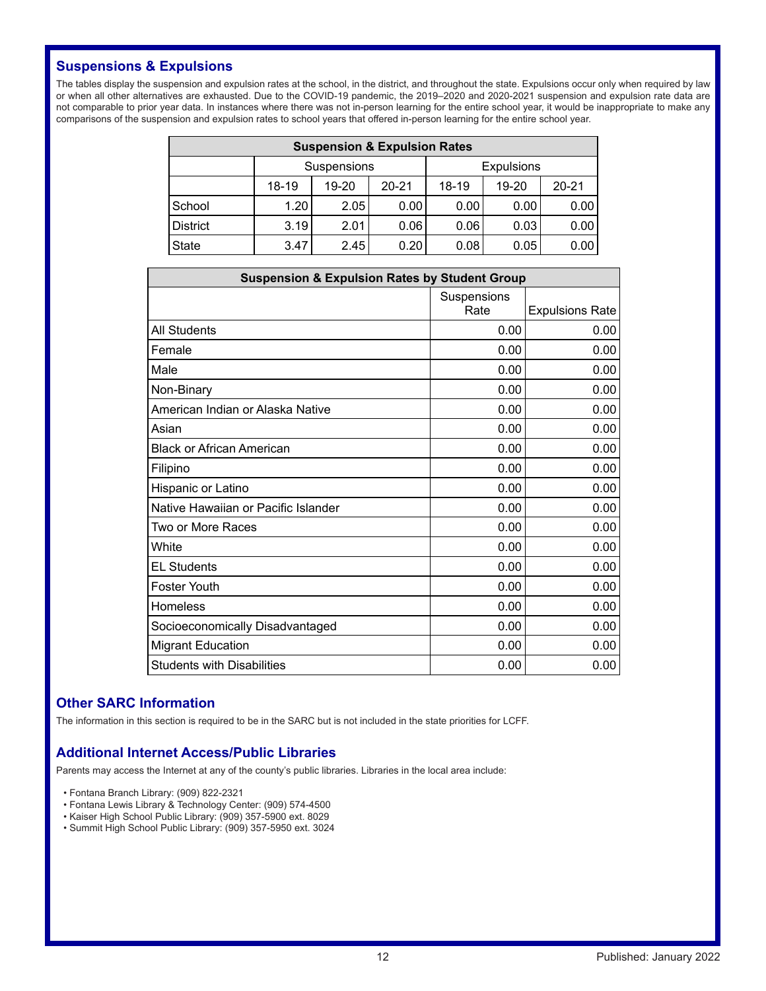# **Suspensions & Expulsions**

The tables display the suspension and expulsion rates at the school, in the district, and throughout the state. Expulsions occur only when required by law or when all other alternatives are exhausted. Due to the COVID-19 pandemic, the 2019–2020 and 2020-2021 suspension and expulsion rate data are not comparable to prior year data. In instances where there was not in-person learning for the entire school year, it would be inappropriate to make any comparisons of the suspension and expulsion rates to school years that offered in-person learning for the entire school year.

| <b>Suspension &amp; Expulsion Rates</b> |                                                                |                    |      |      |                   |      |  |
|-----------------------------------------|----------------------------------------------------------------|--------------------|------|------|-------------------|------|--|
|                                         |                                                                | <b>Suspensions</b> |      |      | <b>Expulsions</b> |      |  |
|                                         | $20 - 21$<br>$18-19$<br>$18-19$<br>$20 - 21$<br>19-20<br>19-20 |                    |      |      |                   |      |  |
| School                                  | 1.20                                                           | 2.05               | 0.00 | 0.00 | 0.00              | 0.00 |  |
| <b>District</b>                         | 3.19                                                           | 2.01               | 0.06 | 0.06 | 0.03              | 0.00 |  |
| <b>State</b>                            | 3.47                                                           | 2.45               | 0.20 | 0.08 | 0.05              | 0.00 |  |

| <b>Suspension &amp; Expulsion Rates by Student Group</b> |                     |                        |  |  |
|----------------------------------------------------------|---------------------|------------------------|--|--|
|                                                          | Suspensions<br>Rate | <b>Expulsions Rate</b> |  |  |
| <b>All Students</b>                                      | 0.00                | 0.00                   |  |  |
| Female                                                   | 0.00                | 0.00                   |  |  |
| Male                                                     | 0.00                | 0.00                   |  |  |
| Non-Binary                                               | 0.00                | 0.00                   |  |  |
| American Indian or Alaska Native                         | 0.00                | 0.00                   |  |  |
| Asian                                                    | 0.00                | 0.00                   |  |  |
| <b>Black or African American</b>                         | 0.00                | 0.00                   |  |  |
| Filipino                                                 | 0.00                | 0.00                   |  |  |
| Hispanic or Latino                                       | 0.00                | 0.00                   |  |  |
| Native Hawaiian or Pacific Islander                      | 0.00                | 0.00                   |  |  |
| Two or More Races                                        | 0.00                | 0.00                   |  |  |
| White                                                    | 0.00                | 0.00                   |  |  |
| <b>EL Students</b>                                       | 0.00                | 0.00                   |  |  |
| <b>Foster Youth</b>                                      | 0.00                | 0.00                   |  |  |
| <b>Homeless</b>                                          | 0.00                | 0.00                   |  |  |
| Socioeconomically Disadvantaged                          | 0.00                | 0.00                   |  |  |
| <b>Migrant Education</b>                                 | 0.00                | 0.00                   |  |  |
| <b>Students with Disabilities</b>                        | 0.00                | 0.00                   |  |  |

# **Other SARC Information**

The information in this section is required to be in the SARC but is not included in the state priorities for LCFF.

# **Additional Internet Access/Public Libraries**

Parents may access the Internet at any of the county's public libraries. Libraries in the local area include:

- Fontana Branch Library: (909) 822-2321
- Fontana Lewis Library & Technology Center: (909) 574-4500
- Kaiser High School Public Library: (909) 357-5900 ext. 8029
- Summit High School Public Library: (909) 357-5950 ext. 3024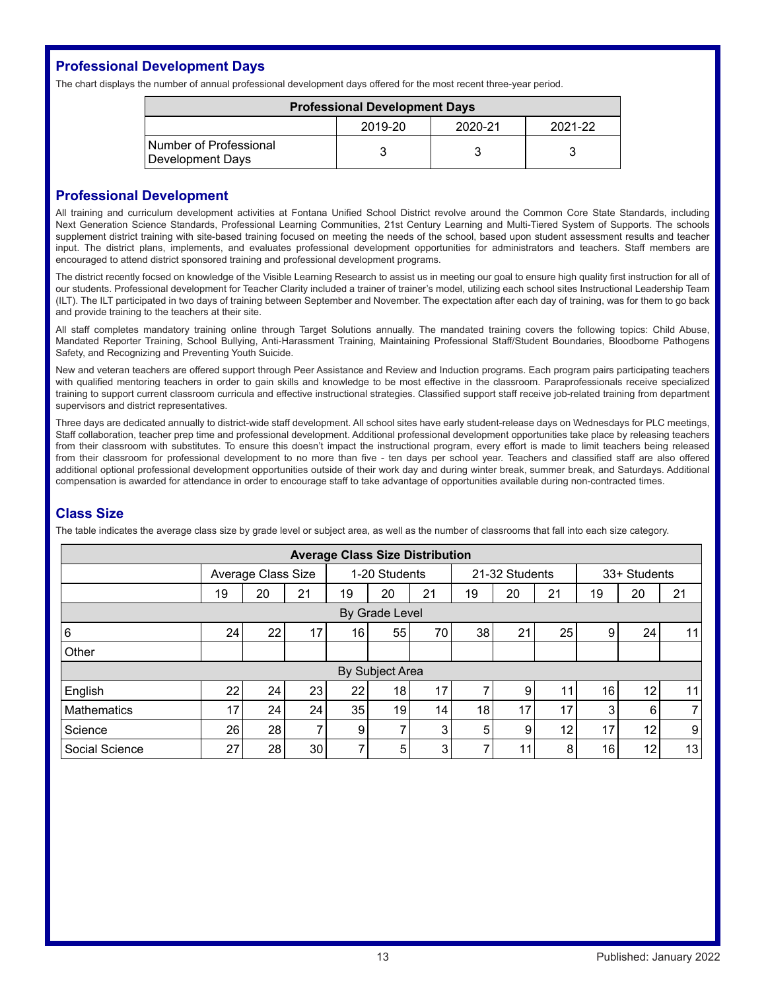# **Professional Development Days**

The chart displays the number of annual professional development days offered for the most recent three-year period.

| <b>Professional Development Days</b>       |  |  |  |  |  |  |
|--------------------------------------------|--|--|--|--|--|--|
| 2019-20<br>2020-21<br>2021-22              |  |  |  |  |  |  |
| Number of Professional<br>Development Days |  |  |  |  |  |  |

### **Professional Development**

All training and curriculum development activities at Fontana Unified School District revolve around the Common Core State Standards, including Next Generation Science Standards, Professional Learning Communities, 21st Century Learning and Multi-Tiered System of Supports. The schools supplement district training with site-based training focused on meeting the needs of the school, based upon student assessment results and teacher input. The district plans, implements, and evaluates professional development opportunities for administrators and teachers. Staff members are encouraged to attend district sponsored training and professional development programs.

The district recently focsed on knowledge of the Visible Learning Research to assist us in meeting our goal to ensure high quality first instruction for all of our students. Professional development for Teacher Clarity included a trainer of trainer's model, utilizing each school sites Instructional Leadership Team (ILT). The ILT participated in two days of training between September and November. The expectation after each day of training, was for them to go back and provide training to the teachers at their site.

All staff completes mandatory training online through Target Solutions annually. The mandated training covers the following topics: Child Abuse, Mandated Reporter Training, School Bullying, Anti-Harassment Training, Maintaining Professional Staff/Student Boundaries, Bloodborne Pathogens Safety, and Recognizing and Preventing Youth Suicide.

New and veteran teachers are offered support through Peer Assistance and Review and Induction programs. Each program pairs participating teachers with qualified mentoring teachers in order to gain skills and knowledge to be most effective in the classroom. Paraprofessionals receive specialized training to support current classroom curricula and effective instructional strategies. Classified support staff receive job-related training from department supervisors and district representatives.

Three days are dedicated annually to district-wide staff development. All school sites have early student-release days on Wednesdays for PLC meetings, Staff collaboration, teacher prep time and professional development. Additional professional development opportunities take place by releasing teachers from their classroom with substitutes. To ensure this doesn't impact the instructional program, every effort is made to limit teachers being released from their classroom for professional development to no more than five - ten days per school year. Teachers and classified staff are also offered additional optional professional development opportunities outside of their work day and during winter break, summer break, and Saturdays. Additional compensation is awarded for attendance in order to encourage staff to take advantage of opportunities available during non-contracted times.

# **Class Size**

The table indicates the average class size by grade level or subject area, as well as the number of classrooms that fall into each size category.

| <b>Average Class Size Distribution</b> |                    |    |                |               |                |                |    |    |              |                 |    |                |
|----------------------------------------|--------------------|----|----------------|---------------|----------------|----------------|----|----|--------------|-----------------|----|----------------|
|                                        | Average Class Size |    |                | 1-20 Students |                | 21-32 Students |    |    | 33+ Students |                 |    |                |
|                                        | 19                 | 20 | 21             | 19            | 20             | 21             | 19 | 20 | 21           | 19              | 20 | 21             |
| By Grade Level                         |                    |    |                |               |                |                |    |    |              |                 |    |                |
| 6                                      | 24                 | 22 | 17             | 16            | 55             | 70             | 38 | 21 | 25           | 9               | 24 | 11             |
| Other                                  |                    |    |                |               |                |                |    |    |              |                 |    |                |
| By Subject Area                        |                    |    |                |               |                |                |    |    |              |                 |    |                |
| English                                | 22                 | 24 | 23             | 22            | 18             | 17             |    | 9  |              | 16              | 12 | 11             |
| Mathematics                            | 17                 | 24 | 24             | 35            | 19             | 14             | 18 | 17 | 17           | 3               | 6  | 7 <sup>1</sup> |
| Science                                | 26                 | 28 | $\overline{7}$ | 9             | 7              | 3              | 5  | 9  | 12           | 17              | 12 | 9              |
| Social Science                         | 27                 | 28 | 30             |               | 5 <sub>1</sub> | 3              |    | 11 | 8            | 16 <sub>1</sub> | 12 | 13             |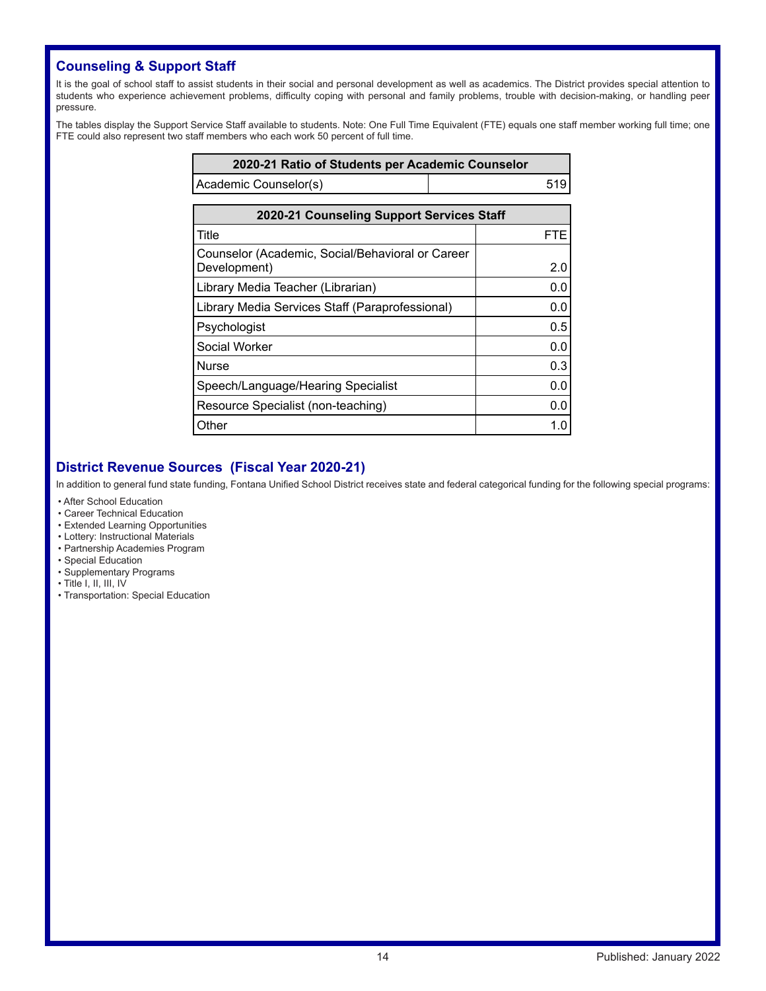# **Counseling & Support Staff**

It is the goal of school staff to assist students in their social and personal development as well as academics. The District provides special attention to students who experience achievement problems, difficulty coping with personal and family problems, trouble with decision-making, or handling peer pressure.

The tables display the Support Service Staff available to students. Note: One Full Time Equivalent (FTE) equals one staff member working full time; one FTE could also represent two staff members who each work 50 percent of full time.

| 2020-21 Ratio of Students per Academic Counselor                 |            |  |  |  |
|------------------------------------------------------------------|------------|--|--|--|
| Academic Counselor(s)                                            | 519        |  |  |  |
| 2020-21 Counseling Support Services Staff                        |            |  |  |  |
| Title                                                            | <b>FTE</b> |  |  |  |
| Counselor (Academic, Social/Behavioral or Career<br>Development) | 2.0        |  |  |  |
| Library Media Teacher (Librarian)                                | 0.0        |  |  |  |
| Library Media Services Staff (Paraprofessional)                  | 0.0        |  |  |  |
| Psychologist                                                     | 0.5        |  |  |  |
| Social Worker                                                    | 0.0        |  |  |  |
| <b>Nurse</b>                                                     | 0.3        |  |  |  |
| Speech/Language/Hearing Specialist                               | 0.0        |  |  |  |
| Resource Specialist (non-teaching)                               | 0.0        |  |  |  |
| Other                                                            | 1.0        |  |  |  |

# **District Revenue Sources (Fiscal Year 2020-21)**

In addition to general fund state funding, Fontana Unified School District receives state and federal categorical funding for the following special programs:

- After School Education
- Career Technical Education
- Extended Learning Opportunities
- Lottery: Instructional Materials
- Partnership Academies Program
- Special Education
- Supplementary Programs
- Title I, II, III, IV
- Transportation: Special Education